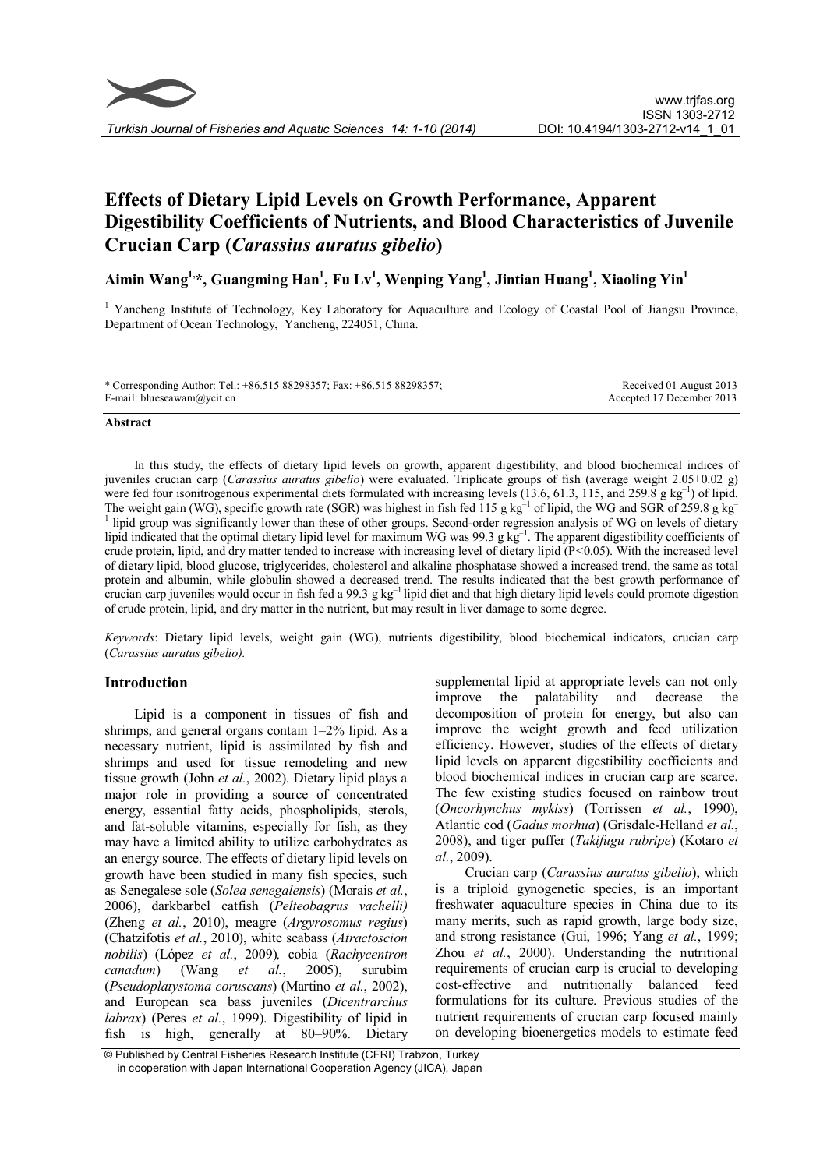# Effects of Dietary Lipid Levels on Growth Performance, Apparent Digestibility Coefficients of Nutrients, and Blood Characteristics of Juvenile Crucian Carp (Carassius auratus gibelio)

Aimin Wang $^{1,\ast}$ , Guangming Han $^{1}$ , Fu Lv $^{1}$ , Wenping Yang $^{1}$ , Jintian Huang $^{1}$ , Xiaoling Yin $^{1}$ 

<sup>1</sup> Yancheng Institute of Technology, Key Laboratory for Aquaculture and Ecology of Coastal Pool of Jiangsu Province, Department of Ocean Technology, Yancheng, 224051, China.

\* Corresponding Author: Tel.: +86.515 88298357; Fax: +86.515 88298357; E-mail: blueseawam@ycit.cn Received 01 August 2013 Accepted 17 December 2013

#### Abstract

In this study, the effects of dietary lipid levels on growth, apparent digestibility, and blood biochemical indices of juveniles crucian carp (Carassius auratus gibelio) were evaluated. Triplicate groups of fish (average weight  $2.05\pm0.02$  g) were fed four isonitrogenous experimental diets formulated with increasing levels  $(13.6, 61.3, 115,$  and  $259.8$  g kg<sup>-1</sup>) of lipid. The weight gain (WG), specific growth rate (SGR) was highest in fish fed 115 g kg<sup>-1</sup> of lipid, the WG and SGR of 259.8 g kg<sup>-1</sup>  $1$  lipid group was significantly lower than these of other groups. Second-order regression analysis of WG on levels of dietary lipid indicated that the optimal dietary lipid level for maximum WG was 99.3 g kg<sup>-1</sup>. The apparent digestibility coefficients of crude protein, lipid, and dry matter tended to increase with increasing level of dietary lipid  $(P< 0.05)$ . With the increased level of dietary lipid, blood glucose, triglycerides, cholesterol and alkaline phosphatase showed a increased trend, the same as total protein and albumin, while globulin showed a decreased trend. The results indicated that the best growth performance of crucian carp juveniles would occur in fish fed a 99.3 g kg<sup>-1</sup> lipid diet and that high dietary lipid levels could promote digestion of crude protein, lipid, and dry matter in the nutrient, but may result in liver damage to some degree.

Keywords: Dietary lipid levels, weight gain (WG), nutrients digestibility, blood biochemical indicators, crucian carp (Carassius auratus gibelio).

# Introduction

Lipid is a component in tissues of fish and shrimps, and general organs contain 1–2% lipid. As a necessary nutrient, lipid is assimilated by fish and shrimps and used for tissue remodeling and new tissue growth (John et al., 2002). Dietary lipid plays a major role in providing a source of concentrated energy, essential fatty acids, phospholipids, sterols, and fat-soluble vitamins, especially for fish, as they may have a limited ability to utilize carbohydrates as an energy source. The effects of dietary lipid levels on growth have been studied in many fish species, such as Senegalese sole (Solea senegalensis) (Morais et al., 2006), darkbarbel catfish (Pelteobagrus vachelli) (Zheng et al., 2010), meagre (Argyrosomus regius) (Chatzifotis et al., 2010), white seabass (Atractoscion nobilis) (López et al., 2009), cobia (Rachycentron canadum) (Wang et al., 2005), surubim (Pseudoplatystoma coruscans) (Martino et al., 2002), and European sea bass juveniles (Dicentrarchus labrax) (Peres et al., 1999). Digestibility of lipid in fish is high, generally at 80–90%. Dietary

supplemental lipid at appropriate levels can not only improve the palatability and decrease the decomposition of protein for energy, but also can improve the weight growth and feed utilization efficiency. However, studies of the effects of dietary lipid levels on apparent digestibility coefficients and blood biochemical indices in crucian carp are scarce. The few existing studies focused on rainbow trout (Oncorhynchus mykiss) (Torrissen et al., 1990), Atlantic cod (Gadus morhua) (Grisdale-Helland et al., 2008), and tiger puffer (Takifugu rubripe) (Kotaro et al., 2009).

Crucian carp (Carassius auratus gibelio), which is a triploid gynogenetic species, is an important freshwater aquaculture species in China due to its many merits, such as rapid growth, large body size, and strong resistance (Gui, 1996; Yang et al., 1999; Zhou et al., 2000). Understanding the nutritional requirements of crucian carp is crucial to developing cost-effective and nutritionally balanced feed formulations for its culture. Previous studies of the nutrient requirements of crucian carp focused mainly on developing bioenergetics models to estimate feed

<sup>©</sup> Published by Central Fisheries Research Institute (CFRI) Trabzon, Turkey in cooperation with Japan International Cooperation Agency (JICA), Japan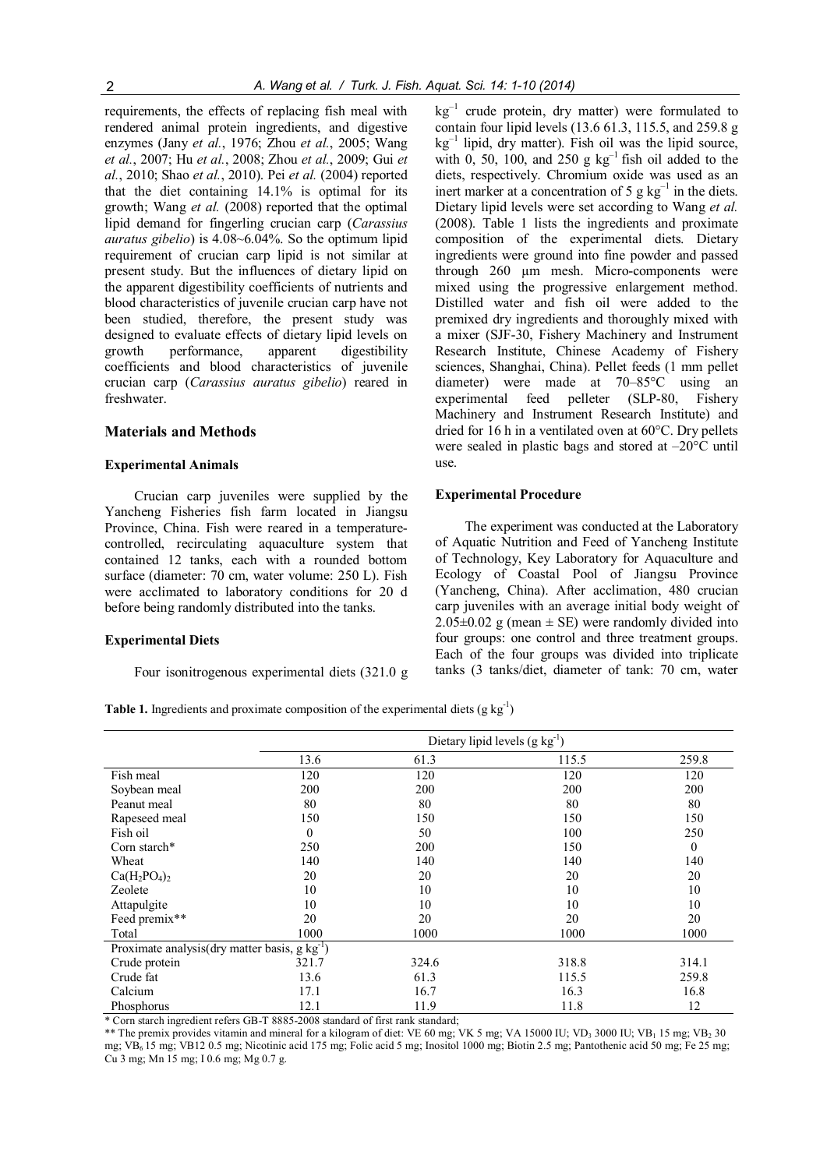requirements, the effects of replacing fish meal with rendered animal protein ingredients, and digestive enzymes (Jany et al., 1976; Zhou et al., 2005; Wang et al., 2007; Hu et al., 2008; Zhou et al., 2009; Gui et al., 2010; Shao et al., 2010). Pei et al. (2004) reported that the diet containing 14.1% is optimal for its growth; Wang et al. (2008) reported that the optimal lipid demand for fingerling crucian carp (Carassius auratus gibelio) is 4.08~6.04%. So the optimum lipid requirement of crucian carp lipid is not similar at present study. But the influences of dietary lipid on the apparent digestibility coefficients of nutrients and blood characteristics of juvenile crucian carp have not been studied, therefore, the present study was designed to evaluate effects of dietary lipid levels on growth performance, apparent digestibility coefficients and blood characteristics of juvenile crucian carp (Carassius auratus gibelio) reared in freshwater.

# Materials and Methods

#### Experimental Animals

Crucian carp juveniles were supplied by the Yancheng Fisheries fish farm located in Jiangsu Province, China. Fish were reared in a temperaturecontrolled, recirculating aquaculture system that contained 12 tanks, each with a rounded bottom surface (diameter: 70 cm, water volume: 250 L). Fish were acclimated to laboratory conditions for 20 d before being randomly distributed into the tanks.

#### Experimental Diets

Four isonitrogenous experimental diets (321.0 g

 $kg^{-1}$  crude protein, dry matter) were formulated to contain four lipid levels (13.6 61.3, 115.5, and 259.8 g  $kg^{-1}$  lipid, dry matter). Fish oil was the lipid source, with 0, 50, 100, and  $250 \text{ g kg}^{-1}$  fish oil added to the diets, respectively. Chromium oxide was used as an inert marker at a concentration of 5 g  $kg^{-1}$  in the diets. Dietary lipid levels were set according to Wang et al. (2008). Table 1 lists the ingredients and proximate composition of the experimental diets. Dietary ingredients were ground into fine powder and passed through 260 µm mesh. Micro-components were mixed using the progressive enlargement method. Distilled water and fish oil were added to the premixed dry ingredients and thoroughly mixed with a mixer (SJF-30, Fishery Machinery and Instrument Research Institute, Chinese Academy of Fishery sciences, Shanghai, China). Pellet feeds (1 mm pellet diameter) were made at 70–85°C using an experimental feed pelleter (SLP-80, Fishery Machinery and Instrument Research Institute) and dried for 16 h in a ventilated oven at 60°C. Dry pellets were sealed in plastic bags and stored at –20°C until use.

#### Experimental Procedure

The experiment was conducted at the Laboratory of Aquatic Nutrition and Feed of Yancheng Institute of Technology, Key Laboratory for Aquaculture and Ecology of Coastal Pool of Jiangsu Province (Yancheng, China). After acclimation, 480 crucian carp juveniles with an average initial body weight of  $2.05\pm0.02$  g (mean  $\pm$  SE) were randomly divided into four groups: one control and three treatment groups. Each of the four groups was divided into triplicate tanks (3 tanks/diet, diameter of tank: 70 cm, water

**Table 1.** Ingredients and proximate composition of the experimental diets  $(g kg<sup>-1</sup>)$ 

|                                                       | Dietary lipid levels $(g kg^{-1})$ |       |       |          |
|-------------------------------------------------------|------------------------------------|-------|-------|----------|
|                                                       | 13.6                               | 61.3  | 115.5 | 259.8    |
| Fish meal                                             | 120                                | 120   | 120   | 120      |
| Soybean meal                                          | 200                                | 200   | 200   | 200      |
| Peanut meal                                           | 80                                 | 80    | 80    | 80       |
| Rapeseed meal                                         | 150                                | 150   | 150   | 150      |
| Fish oil                                              | $\theta$                           | 50    | 100   | 250      |
| Corn starch*                                          | 250                                | 200   | 150   | $\theta$ |
| Wheat                                                 | 140                                | 140   | 140   | 140      |
| $Ca(H_2PO_4)_2$                                       | 20                                 | 20    | 20    | 20       |
| Zeolete                                               | 10                                 | 10    | 10    | 10       |
| Attapulgite                                           | 10                                 | 10    | 10    | 10       |
| Feed premix**                                         | 20                                 | 20    | 20    | 20       |
| Total                                                 | 1000                               | 1000  | 1000  | 1000     |
| Proximate analysis(dry matter basis, $g \, kg^{-1}$ ) |                                    |       |       |          |
| Crude protein                                         | 321.7                              | 324.6 | 318.8 | 314.1    |
| Crude fat                                             | 13.6                               | 61.3  | 115.5 | 259.8    |
| Calcium                                               | 17.1                               | 16.7  | 16.3  | 16.8     |
| Phosphorus                                            | 12.1                               | 11.9  | 11.8  | 12       |

\* Corn starch ingredient refers GB-T 8885-2008 standard of first rank standard;

\*\* The premix provides vitamin and mineral for a kilogram of diet: VE 60 mg; VK 5 mg; VA 15000 IU; VD<sub>3</sub> 3000 IU; VB<sub>1</sub> 15 mg; VB<sub>2</sub> 30 mg; VB6 15 mg; VB12 0.5 mg; Nicotinic acid 175 mg; Folic acid 5 mg; Inositol 1000 mg; Biotin 2.5 mg; Pantothenic acid 50 mg; Fe 25 mg; Cu 3 mg; Mn 15 mg; I 0.6 mg; Mg 0.7 g.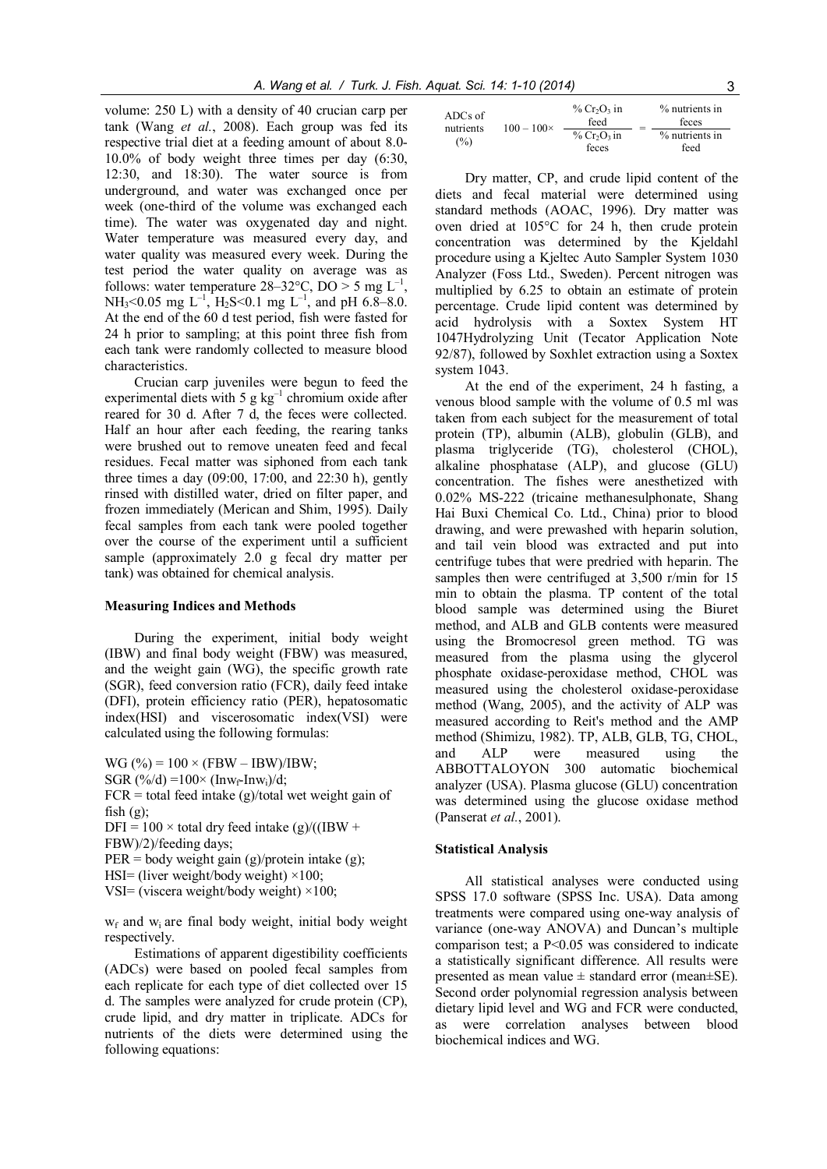volume: 250 L) with a density of 40 crucian carp per tank (Wang et al., 2008). Each group was fed its respective trial diet at a feeding amount of about 8.0- 10.0% of body weight three times per day (6:30, 12:30, and 18:30). The water source is from underground, and water was exchanged once per week (one-third of the volume was exchanged each time). The water was oxygenated day and night. Water temperature was measured every day, and water quality was measured every week. During the test period the water quality on average was as follows: water temperature  $28-32$ °C, DO > 5 mg L<sup>-1</sup>, NH<sub>3</sub><0.05 mg L<sup>-1</sup>, H<sub>2</sub>S<0.1 mg L<sup>-1</sup>, and pH 6.8–8.0. At the end of the 60 d test period, fish were fasted for 24 h prior to sampling; at this point three fish from each tank were randomly collected to measure blood characteristics.

Crucian carp juveniles were begun to feed the experimental diets with 5 g  $kg^{-1}$  chromium oxide after reared for 30 d. After 7 d, the feces were collected. Half an hour after each feeding, the rearing tanks were brushed out to remove uneaten feed and fecal residues. Fecal matter was siphoned from each tank three times a day (09:00, 17:00, and 22:30 h), gently rinsed with distilled water, dried on filter paper, and frozen immediately (Merican and Shim, 1995). Daily fecal samples from each tank were pooled together over the course of the experiment until a sufficient sample (approximately 2.0 g fecal dry matter per tank) was obtained for chemical analysis.

#### Measuring Indices and Methods

During the experiment, initial body weight (IBW) and final body weight (FBW) was measured, and the weight gain (WG), the specific growth rate (SGR), feed conversion ratio (FCR), daily feed intake (DFI), protein efficiency ratio (PER), hepatosomatic index(HSI) and viscerosomatic index(VSI) were calculated using the following formulas:

 $WG (%) = 100 \times (FBW - IBW)/IBW;$ 

SGR  $(\frac{6}{d}) = 100 \times (\text{Inv}_{f} - \text{Inv}_{i})/d$ ;

 $FCR = total feed intake (g)/total wet weight gain of$ fish  $(g)$ ;

DFI =  $100 \times$  total dry feed intake (g)/((IBW +

FBW)/2)/feeding days;

 $PER = body weight gain (g)/protein intake (g);$ 

```
HSI= (liver weight/body weight) \times100;
```
VSI= (viscera weight/body weight)  $\times$ 100;

 $w_f$  and  $w_i$  are final body weight, initial body weight respectively.

Estimations of apparent digestibility coefficients (ADCs) were based on pooled fecal samples from each replicate for each type of diet collected over 15 d. The samples were analyzed for crude protein (CP), crude lipid, and dry matter in triplicate. ADCs for nutrients of the diets were determined using the following equations:

| ADCs of<br>nutrients<br>(%) | $100 - 100 \times$ | $\%$ Cr <sub>2</sub> O <sub>2</sub> in<br>feed |  |                |
|-----------------------------|--------------------|------------------------------------------------|--|----------------|
|                             |                    | $\%$ Cr <sub>2</sub> O <sub>3</sub> in         |  | % nutrients in |
|                             |                    | feces                                          |  | feed           |

Dry matter, CP, and crude lipid content of the diets and fecal material were determined using standard methods (AOAC, 1996). Dry matter was oven dried at 105°C for 24 h, then crude protein concentration was determined by the Kjeldahl procedure using a Kjeltec Auto Sampler System 1030 Analyzer (Foss Ltd., Sweden). Percent nitrogen was multiplied by 6.25 to obtain an estimate of protein percentage. Crude lipid content was determined by acid hydrolysis with a Soxtex System HT 1047Hydrolyzing Unit (Tecator Application Note 92/87), followed by Soxhlet extraction using a Soxtex system 1043.

At the end of the experiment, 24 h fasting, a venous blood sample with the volume of 0.5 ml was taken from each subject for the measurement of total protein (TP), albumin (ALB), globulin (GLB), and plasma triglyceride (TG), cholesterol (CHOL), alkaline phosphatase (ALP), and glucose (GLU) concentration. The fishes were anesthetized with 0.02% MS-222 (tricaine methanesulphonate, Shang Hai Buxi Chemical Co. Ltd., China) prior to blood drawing, and were prewashed with heparin solution, and tail vein blood was extracted and put into centrifuge tubes that were predried with heparin. The samples then were centrifuged at 3,500 r/min for 15 min to obtain the plasma. TP content of the total blood sample was determined using the Biuret method, and ALB and GLB contents were measured using the Bromocresol green method. TG was measured from the plasma using the glycerol phosphate oxidase-peroxidase method, CHOL was measured using the cholesterol oxidase-peroxidase method (Wang, 2005), and the activity of ALP was measured according to Reit's method and the AMP method (Shimizu, 1982). TP, ALB, GLB, TG, CHOL, and ALP were measured using the ABBOTTALOYON 300 automatic biochemical analyzer (USA). Plasma glucose (GLU) concentration was determined using the glucose oxidase method (Panserat et al., 2001).

#### Statistical Analysis

All statistical analyses were conducted using SPSS 17.0 software (SPSS Inc. USA). Data among treatments were compared using one-way analysis of variance (one-way ANOVA) and Duncan's multiple comparison test; a P<0.05 was considered to indicate a statistically significant difference. All results were presented as mean value  $\pm$  standard error (mean $\pm$ SE). Second order polynomial regression analysis between dietary lipid level and WG and FCR were conducted, as were correlation analyses between blood biochemical indices and WG.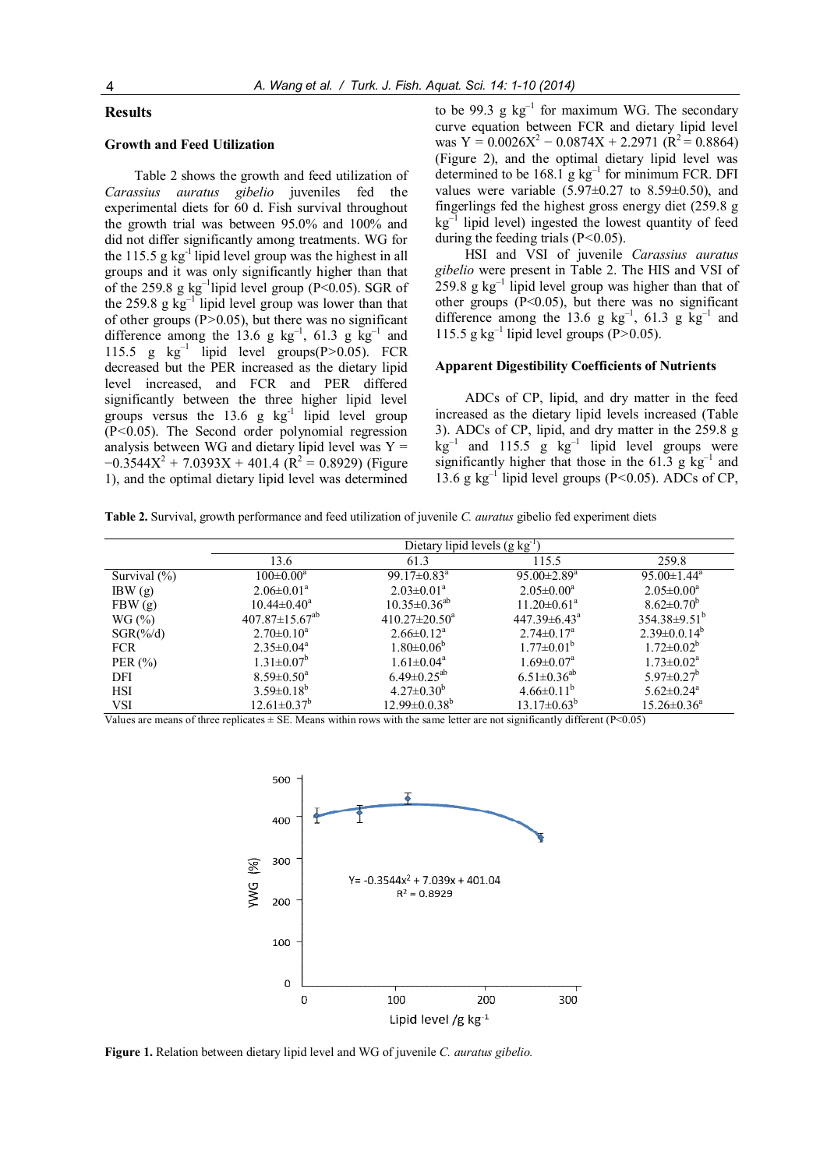#### Results

# Growth and Feed Utilization

Table 2 shows the growth and feed utilization of Carassius auratus gibelio juveniles fed the experimental diets for 60 d. Fish survival throughout the growth trial was between 95.0% and 100% and did not differ significantly among treatments. WG for the 115.5 g  $kg^{-1}$  lipid level group was the highest in all groups and it was only significantly higher than that of the 259.8 g  $kg^{-1}$ lipid level group (P<0.05). SGR of the 259.8 g kg<sup>-1</sup> lipid level group was lower than that of other groups  $(P>0.05)$ , but there was no significant difference among the 13.6 g  $kg^{-1}$ , 61.3 g  $kg^{-1}$  and 115.5 g  $\text{kg}^{-1}$  lipid level groups(P>0.05). FCR decreased but the PER increased as the dietary lipid level increased, and FCR and PER differed significantly between the three higher lipid level groups versus the  $13.6$  g kg<sup>-1</sup> lipid level group (P<0.05). The Second order polynomial regression analysis between WG and dietary lipid level was  $Y =$  $-0.3544X^{2} + 7.0393X + 401.4$  (R<sup>2</sup> = 0.8929) (Figure 1), and the optimal dietary lipid level was determined

to be 99.3 g  $kg^{-1}$  for maximum WG. The secondary curve equation between FCR and dietary lipid level was  $Y = 0.0026X^2 - 0.0874X + 2.2971 (R^2 = 0.8864)$ (Figure 2), and the optimal dietary lipid level was determined to be  $168.1$  g kg<sup>-1</sup> for minimum FCR. DFI values were variable  $(5.97\pm0.27)$  to  $8.59\pm0.50$ , and fingerlings fed the highest gross energy diet (259.8 g  $kg^{-1}$  lipid level) ingested the lowest quantity of feed during the feeding trials  $(P<0.05)$ .

HSI and VSI of juvenile Carassius auratus gibelio were present in Table 2. The HIS and VSI of  $259.8$  g kg<sup>-1</sup> lipid level group was higher than that of other groups (P<0.05), but there was no significant difference among the 13.6 g  $kg^{-1}$ , 61.3 g  $kg^{-1}$  and 115.5 g kg<sup>-1</sup> lipid level groups (P>0.05).

#### Apparent Digestibility Coefficients of Nutrients

ADCs of CP, lipid, and dry matter in the feed increased as the dietary lipid levels increased (Table 3). ADCs of CP, lipid, and dry matter in the 259.8 g  $kg^{-1}$  and 115.5 g  $kg^{-1}$  lipid level groups were significantly higher that those in the 61.3 g  $kg^{-1}$  and 13.6 g kg<sup>-1</sup> lipid level groups (P<0.05). ADCs of CP,

Table 2. Survival, growth performance and feed utilization of juvenile C. *auratus* gibelio fed experiment diets

|                 | Dietary lipid levels $(g \log^{-1})$ |                               |                               |                               |
|-----------------|--------------------------------------|-------------------------------|-------------------------------|-------------------------------|
|                 | 13.6                                 | 61.3                          | 115.5                         | 259.8                         |
| Survival $(\%)$ | $100 \pm 0.00^a$                     | 99.17 $\pm$ 0.83 <sup>a</sup> | $95.00 \pm 2.89$ <sup>a</sup> | $95.00 \pm 1.44$ <sup>a</sup> |
| IBW(g)          | $2.06 \pm 0.01^a$                    | $2.03 \pm 0.01^a$             | $2.05 \pm 0.00^a$             | $2.05 \pm 0.00^a$             |
| FBW(g)          | $10.44 \pm 0.40^a$                   | $10.35 \pm 0.36^{ab}$         | $11.20 \pm 0.61$ <sup>a</sup> | $8.62 \pm 0.70^b$             |
| WG(%)           | $407.87 \pm 15.67^{ab}$              | $410.27 \pm 20.50^{\circ}$    | $447.39\pm6.43^{\circ}$       | $354.38\pm9.51^{b}$           |
| $SGR(\%/d)$     | $2.70 \pm 0.10^a$                    | $2.66 \pm 0.12^a$             | $2.74 \pm 0.17$ <sup>a</sup>  | $2.39 \pm 0.0.14^b$           |
| <b>FCR</b>      | $2.35 \pm 0.04^a$                    | $1.80 \pm 0.06^{\circ}$       | $1.77 \pm 0.01^{\circ}$       | $1.72 \pm 0.02^b$             |
| PER $(\% )$     | $1.31 \pm 0.07^b$                    | $1.61 \pm 0.04^a$             | $1.69 \pm 0.07$ <sup>a</sup>  | $1.73 \pm 0.02^a$             |
| DFI             | $8.59 \pm 0.50^a$                    | $6.49 \pm 0.25^{ab}$          | $6.51 \pm 0.36^{ab}$          | $5.97 \pm 0.27$ <sup>b</sup>  |
| <b>HSI</b>      | $3.59 \pm 0.18^b$                    | $4.27 \pm 0.30^b$             | $4.66 \pm 0.11^b$             | $5.62 \pm 0.24$ <sup>a</sup>  |
| <b>VSI</b>      | $12.61 \pm 0.37^b$                   | $12.99 \pm 0.038^b$           | $13.17\pm0.63^b$              | $15.26 \pm 0.36^a$            |

Values are means of three replicates  $\pm$  SE. Means within rows with the same letter are not significantly different (P<0.05)



Figure 1. Relation between dietary lipid level and WG of juvenile C. auratus gibelio.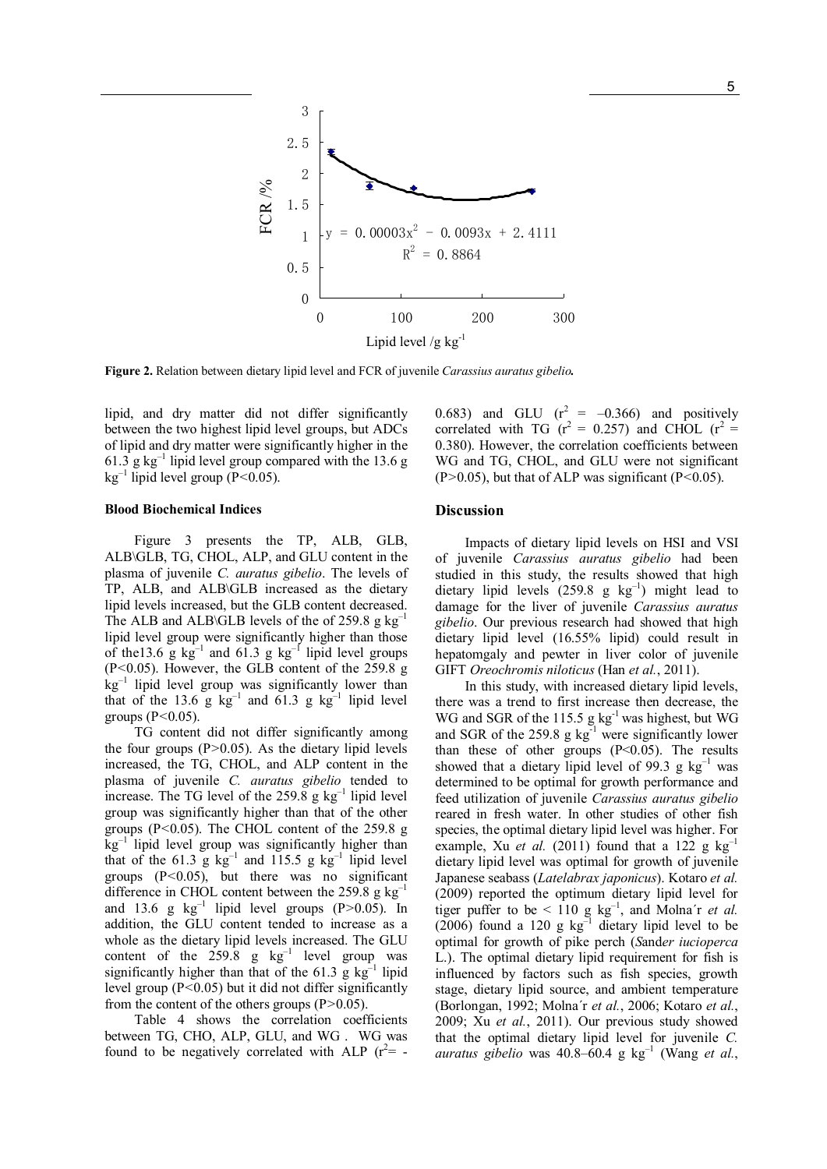

Figure 2. Relation between dietary lipid level and FCR of juvenile Carassius auratus gibelio.

lipid, and dry matter did not differ significantly between the two highest lipid level groups, but ADCs of lipid and dry matter were significantly higher in the 61.3  $g \text{ kg}^{-1}$  lipid level group compared with the 13.6 g  $kg^{-1}$  lipid level group (P<0.05).

#### Blood Biochemical Indices

Figure 3 presents the TP, ALB, GLB, ALB\GLB, TG, CHOL, ALP, and GLU content in the plasma of juvenile C. auratus gibelio. The levels of TP, ALB, and ALB\GLB increased as the dietary lipid levels increased, but the GLB content decreased. The ALB and ALB\GLB levels of the of 259.8 g  $kg^{-1}$ lipid level group were significantly higher than those of the13.6 g  $kg^{-1}$  and 61.3 g  $kg^{-1}$  lipid level groups (P<0.05). However, the GLB content of the 259.8 g  $kg^{-1}$  lipid level group was significantly lower than that of the 13.6 g  $kg^{-1}$  and 61.3 g  $kg^{-1}$  lipid level groups  $(P<0.05)$ .

TG content did not differ significantly among the four groups  $(P>0.05)$ . As the dietary lipid levels increased, the TG, CHOL, and ALP content in the plasma of juvenile C. auratus gibelio tended to increase. The TG level of the  $259.8$  g kg<sup>-1</sup> lipid level group was significantly higher than that of the other groups ( $P < 0.05$ ). The CHOL content of the 259.8 g  $kg^{-1}$  lipid level group was significantly higher than that of the 61.3 g  $kg^{-1}$  and 115.5 g  $kg^{-1}$  lipid level groups  $(P<0.05)$ , but there was no significant difference in CHOL content between the 259.8 g  $kg^{-1}$ and 13.6 g  $kg^{-1}$  lipid level groups (P>0.05). In addition, the GLU content tended to increase as a whole as the dietary lipid levels increased. The GLU content of the  $259.8$  g  $\text{kg}^{-1}$  level group was significantly higher than that of the 61.3  $\bar{g}$  kg<sup>-1</sup> lipid level group  $(P<0.05)$  but it did not differ significantly from the content of the others groups  $(P>0.05)$ .

Table 4 shows the correlation coefficients between TG, CHO, ALP, GLU, and WG . WG was found to be negatively correlated with ALP  $(r^2 = -r^2)$ 

0.683) and GLU  $(r^2 = -0.366)$  and positively correlated with TG ( $r^2 = 0.257$ ) and CHOL ( $r^2 =$ 0.380). However, the correlation coefficients between WG and TG, CHOL, and GLU were not significant  $(P>0.05)$ , but that of ALP was significant  $(P<0.05)$ .

# **Discussion**

Impacts of dietary lipid levels on HSI and VSI of juvenile Carassius auratus gibelio had been studied in this study, the results showed that high dietary lipid levels  $(259.8 \text{ g kg}^{-1})$  might lead to damage for the liver of juvenile Carassius auratus gibelio. Our previous research had showed that high dietary lipid level (16.55% lipid) could result in hepatomgaly and pewter in liver color of juvenile GIFT Oreochromis niloticus (Han et al., 2011).

In this study, with increased dietary lipid levels, there was a trend to first increase then decrease, the WG and SGR of the 115.5 g kg<sup>-1</sup> was highest, but WG and SGR of the 259.8 g  $kg^{-1}$  were significantly lower than these of other groups  $(P<0.05)$ . The results showed that a dietary lipid level of 99.3 g  $kg^{-1}$  was determined to be optimal for growth performance and feed utilization of juvenile Carassius auratus gibelio reared in fresh water. In other studies of other fish species, the optimal dietary lipid level was higher. For example, Xu *et al.* (2011) found that a 122 g  $kg^{-1}$ dietary lipid level was optimal for growth of juvenile Japanese seabass (Latelabrax japonicus). Kotaro et al. (2009) reported the optimum dietary lipid level for tiger puffer to be < 110 g  $kg^{-1}$ , and Molna'r *et al.*  $(2006)$  found a 120 g kg<sup>-1</sup> dietary lipid level to be optimal for growth of pike perch (Sander iucioperca L.). The optimal dietary lipid requirement for fish is influenced by factors such as fish species, growth stage, dietary lipid source, and ambient temperature (Borlongan, 1992; Molna´r et al., 2006; Kotaro et al., 2009; Xu et al., 2011). Our previous study showed that the optimal dietary lipid level for juvenile C. auratus gibelio was 40.8–60.4 g  $kg^{-1}$  (Wang et al.,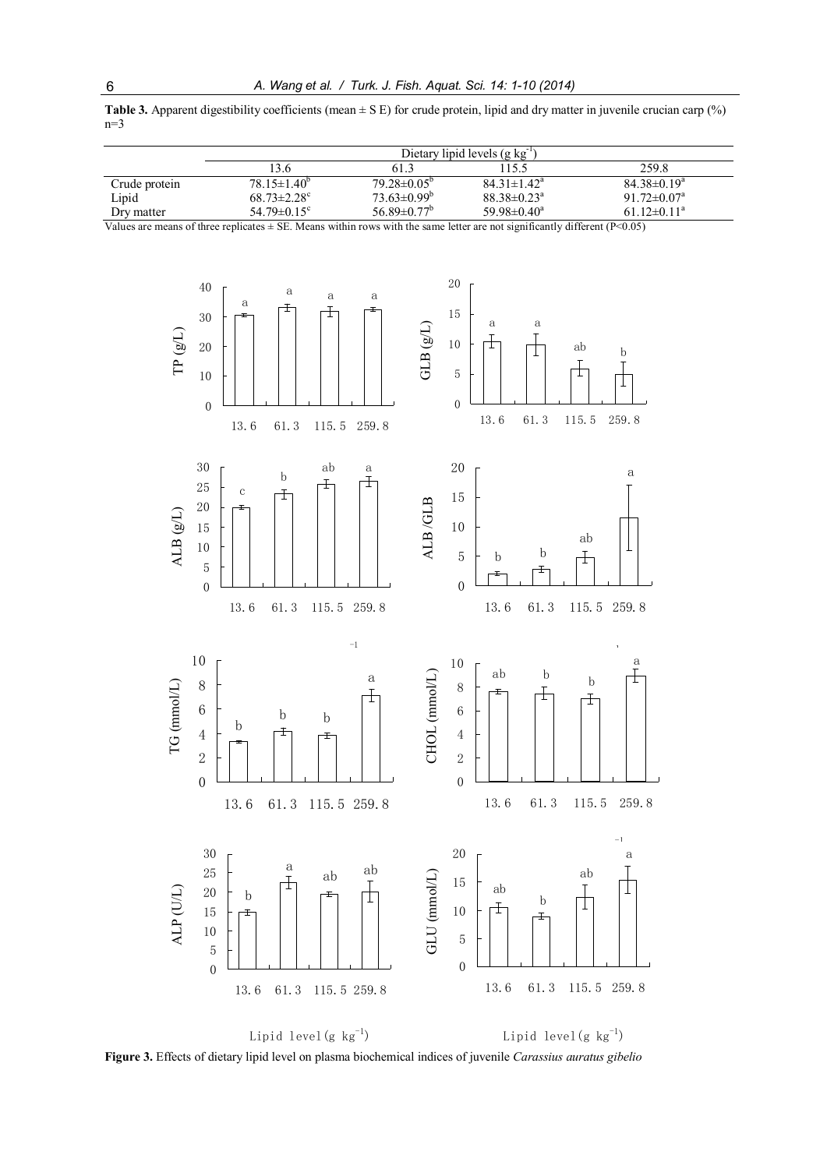| Table 3. Apparent digestibility coefficients (mean $\pm S$ E) for crude protein, lipid and dry matter in juvenile crucian carp (%) |  |  |
|------------------------------------------------------------------------------------------------------------------------------------|--|--|
| $n=3$                                                                                                                              |  |  |

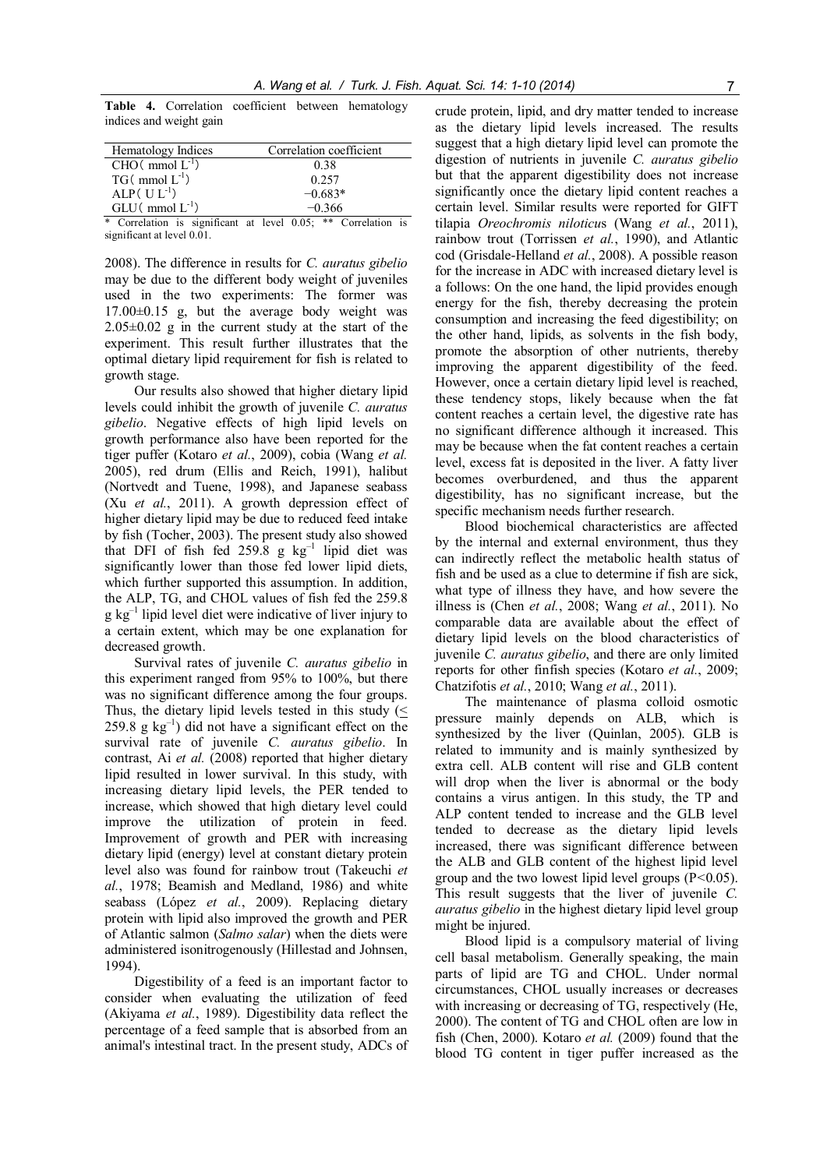Table 4. Correlation coefficient between hematology indices and weight gain

| Hematology Indices     | Correlation coefficient |
|------------------------|-------------------------|
| $CHO(mmol L-1)$        | 0.38                    |
| $TG(mmol L-1)$         | 0.257                   |
| $ALP(UL^{-1})$         | $-0.683*$               |
| $GLU$ (mmol $L^{-1}$ ) | $-0.366$                |

\* Correlation is significant at level 0.05; \*\* Correlation is significant at level 0.01.

2008). The difference in results for C. auratus gibelio may be due to the different body weight of juveniles used in the two experiments: The former was 17.00±0.15 g, but the average body weight was  $2.05\pm0.02$  g in the current study at the start of the experiment. This result further illustrates that the optimal dietary lipid requirement for fish is related to growth stage.

Our results also showed that higher dietary lipid levels could inhibit the growth of juvenile C. auratus gibelio. Negative effects of high lipid levels on growth performance also have been reported for the tiger puffer (Kotaro et al., 2009), cobia (Wang et al. 2005), red drum (Ellis and Reich, 1991), halibut (Nortvedt and Tuene, 1998), and Japanese seabass (Xu et al., 2011). A growth depression effect of higher dietary lipid may be due to reduced feed intake by fish (Tocher, 2003). The present study also showed that DFI of fish fed  $259.8$  g kg<sup>-1</sup> lipid diet was significantly lower than those fed lower lipid diets, which further supported this assumption. In addition, the ALP, TG, and CHOL values of fish fed the 259.8  $g \text{ kg}^{-1}$  lipid level diet were indicative of liver injury to a certain extent, which may be one explanation for decreased growth.

Survival rates of juvenile C. *auratus gibelio* in this experiment ranged from 95% to 100%, but there was no significant difference among the four groups. Thus, the dietary lipid levels tested in this study (<  $259.8$  g kg<sup>-1</sup>) did not have a significant effect on the survival rate of juvenile C. auratus gibelio. In contrast, Ai et al. (2008) reported that higher dietary lipid resulted in lower survival. In this study, with increasing dietary lipid levels, the PER tended to increase, which showed that high dietary level could improve the utilization of protein in feed. Improvement of growth and PER with increasing dietary lipid (energy) level at constant dietary protein level also was found for rainbow trout (Takeuchi et al., 1978; Beamish and Medland, 1986) and white seabass (López et al., 2009). Replacing dietary protein with lipid also improved the growth and PER of Atlantic salmon (Salmo salar) when the diets were administered isonitrogenously (Hillestad and Johnsen, 1994).

Digestibility of a feed is an important factor to consider when evaluating the utilization of feed (Akiyama et al., 1989). Digestibility data reflect the percentage of a feed sample that is absorbed from an animal's intestinal tract. In the present study, ADCs of crude protein, lipid, and dry matter tended to increase as the dietary lipid levels increased. The results suggest that a high dietary lipid level can promote the digestion of nutrients in juvenile C. auratus gibelio but that the apparent digestibility does not increase significantly once the dietary lipid content reaches a certain level. Similar results were reported for GIFT tilapia Oreochromis niloticus (Wang et al., 2011), rainbow trout (Torrissen et al., 1990), and Atlantic cod (Grisdale-Helland et al., 2008). A possible reason for the increase in ADC with increased dietary level is a follows: On the one hand, the lipid provides enough energy for the fish, thereby decreasing the protein consumption and increasing the feed digestibility; on the other hand, lipids, as solvents in the fish body, promote the absorption of other nutrients, thereby improving the apparent digestibility of the feed. However, once a certain dietary lipid level is reached, these tendency stops, likely because when the fat content reaches a certain level, the digestive rate has no significant difference although it increased. This may be because when the fat content reaches a certain level, excess fat is deposited in the liver. A fatty liver becomes overburdened, and thus the apparent digestibility, has no significant increase, but the specific mechanism needs further research.

Blood biochemical characteristics are affected by the internal and external environment, thus they can indirectly reflect the metabolic health status of fish and be used as a clue to determine if fish are sick, what type of illness they have, and how severe the illness is (Chen et al., 2008; Wang et al., 2011). No comparable data are available about the effect of dietary lipid levels on the blood characteristics of juvenile C. auratus gibelio, and there are only limited reports for other finfish species (Kotaro et al., 2009; Chatzifotis et al., 2010; Wang et al., 2011).

The maintenance of plasma colloid osmotic pressure mainly depends on ALB, which is synthesized by the liver (Quinlan, 2005). GLB is related to immunity and is mainly synthesized by extra cell. ALB content will rise and GLB content will drop when the liver is abnormal or the body contains a virus antigen. In this study, the TP and ALP content tended to increase and the GLB level tended to decrease as the dietary lipid levels increased, there was significant difference between the ALB and GLB content of the highest lipid level group and the two lowest lipid level groups  $(P<0.05)$ . This result suggests that the liver of juvenile C. auratus gibelio in the highest dietary lipid level group might be injured.

Blood lipid is a compulsory material of living cell basal metabolism. Generally speaking, the main parts of lipid are TG and CHOL. Under normal circumstances, CHOL usually increases or decreases with increasing or decreasing of TG, respectively (He, 2000). The content of TG and CHOL often are low in fish (Chen, 2000). Kotaro et al. (2009) found that the blood TG content in tiger puffer increased as the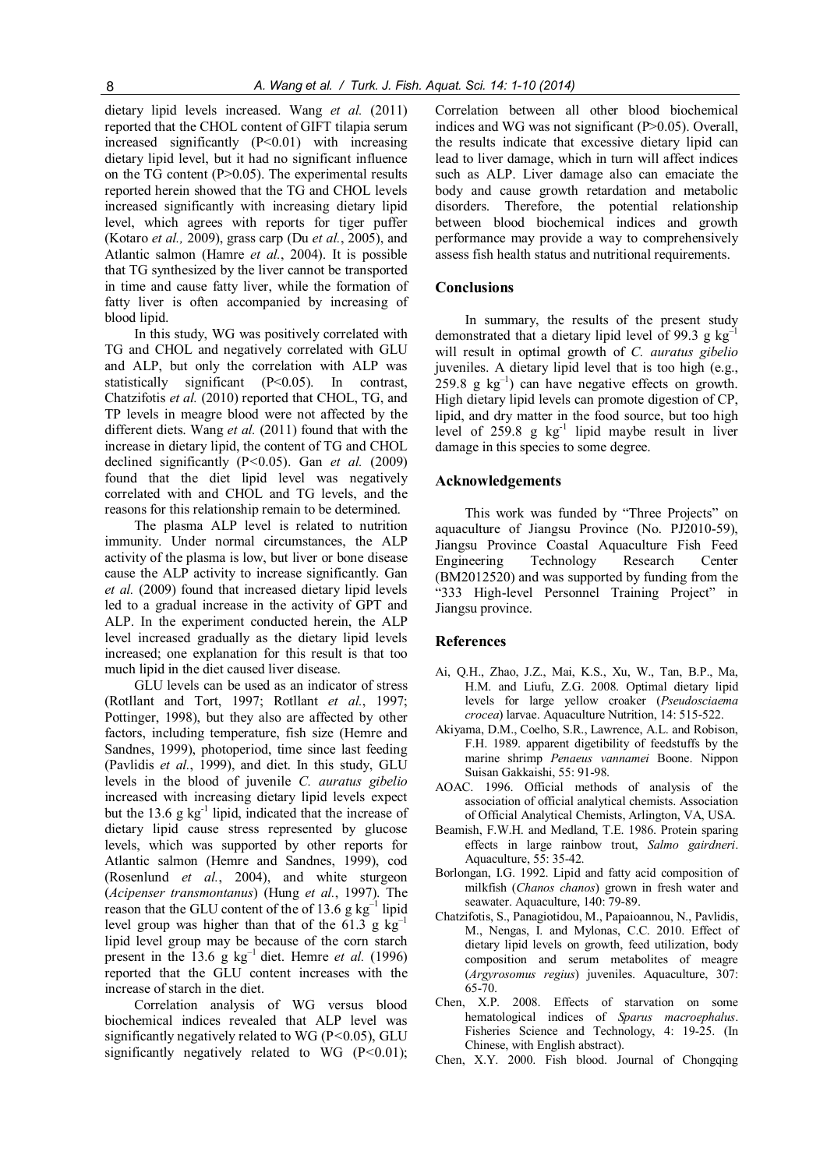dietary lipid levels increased. Wang et al. (2011) reported that the CHOL content of GIFT tilapia serum increased significantly  $(P<0.01)$  with increasing dietary lipid level, but it had no significant influence on the TG content (P>0.05). The experimental results reported herein showed that the TG and CHOL levels increased significantly with increasing dietary lipid level, which agrees with reports for tiger puffer (Kotaro et al., 2009), grass carp (Du et al., 2005), and Atlantic salmon (Hamre et al., 2004). It is possible that TG synthesized by the liver cannot be transported in time and cause fatty liver, while the formation of fatty liver is often accompanied by increasing of blood lipid.

In this study, WG was positively correlated with TG and CHOL and negatively correlated with GLU and ALP, but only the correlation with ALP was statistically significant (P<0.05). In contrast, Chatzifotis et al. (2010) reported that CHOL, TG, and TP levels in meagre blood were not affected by the different diets. Wang et al. (2011) found that with the increase in dietary lipid, the content of TG and CHOL declined significantly  $(P<0.05)$ . Gan *et al.* (2009) found that the diet lipid level was negatively correlated with and CHOL and TG levels, and the reasons for this relationship remain to be determined.

The plasma ALP level is related to nutrition immunity. Under normal circumstances, the ALP activity of the plasma is low, but liver or bone disease cause the ALP activity to increase significantly. Gan et al. (2009) found that increased dietary lipid levels led to a gradual increase in the activity of GPT and ALP. In the experiment conducted herein, the ALP level increased gradually as the dietary lipid levels increased; one explanation for this result is that too much lipid in the diet caused liver disease.

GLU levels can be used as an indicator of stress (Rotllant and Tort, 1997; Rotllant et al., 1997; Pottinger, 1998), but they also are affected by other factors, including temperature, fish size (Hemre and Sandnes, 1999), photoperiod, time since last feeding (Pavlidis et al., 1999), and diet. In this study, GLU levels in the blood of juvenile C. auratus gibelio increased with increasing dietary lipid levels expect but the  $13.6 \text{ g kg}^{-1}$  lipid, indicated that the increase of dietary lipid cause stress represented by glucose levels, which was supported by other reports for Atlantic salmon (Hemre and Sandnes, 1999), cod (Rosenlund et al., 2004), and white sturgeon (Acipenser transmontanus) (Hung et al., 1997). The reason that the GLU content of the of 13.6 g kg $^{-1}$  lipid level group was higher than that of the 61.3 g  $kg^{-1}$ lipid level group may be because of the corn starch present in the  $13.6$  g kg<sup>-1</sup> diet. Hemre *et al.* (1996) reported that the GLU content increases with the increase of starch in the diet.

Correlation analysis of WG versus blood biochemical indices revealed that ALP level was significantly negatively related to WG ( $P<0.05$ ), GLU significantly negatively related to WG  $(P<0.01)$ ; Correlation between all other blood biochemical indices and WG was not significant (P>0.05). Overall, the results indicate that excessive dietary lipid can lead to liver damage, which in turn will affect indices such as ALP. Liver damage also can emaciate the body and cause growth retardation and metabolic disorders. Therefore, the potential relationship between blood biochemical indices and growth performance may provide a way to comprehensively assess fish health status and nutritional requirements.

### **Conclusions**

In summary, the results of the present study demonstrated that a dietary lipid level of 99.3 g  $kg^{-1}$ will result in optimal growth of C. auratus gibelio juveniles. A dietary lipid level that is too high (e.g.,  $259.8$  g  $\text{kg}^{-1}$ ) can have negative effects on growth. High dietary lipid levels can promote digestion of CP, lipid, and dry matter in the food source, but too high level of 259.8 g  $kg^{-1}$  lipid maybe result in liver damage in this species to some degree.

# Acknowledgements

This work was funded by "Three Projects" on aquaculture of Jiangsu Province (No. PJ2010-59), Jiangsu Province Coastal Aquaculture Fish Feed Engineering Technology Research Center (BM2012520) and was supported by funding from the "333 High-level Personnel Training Project" in Jiangsu province.

#### References

- Ai, Q.H., Zhao, J.Z., Mai, K.S., Xu, W., Tan, B.P., Ma, H.M. and Liufu, Z.G. 2008. Optimal dietary lipid levels for large yellow croaker (Pseudosciaema crocea) larvae. Aquaculture Nutrition, 14: 515-522.
- Akiyama, D.M., Coelho, S.R., Lawrence, A.L. and Robison, F.H. 1989. apparent digetibility of feedstuffs by the marine shrimp Penaeus vannamei Boone. Nippon Suisan Gakkaishi, 55: 91-98.
- AOAC. 1996. Official methods of analysis of the association of official analytical chemists. Association of Official Analytical Chemists, Arlington, VA, USA.
- Beamish, F.W.H. and Medland, T.E. 1986. Protein sparing effects in large rainbow trout, Salmo gairdneri. Aquaculture, 55: 35-42.
- Borlongan, I.G. 1992. Lipid and fatty acid composition of milkfish (Chanos chanos) grown in fresh water and seawater. Aquaculture, 140: 79-89.
- Chatzifotis, S., Panagiotidou, M., Papaioannou, N., Pavlidis, M., Nengas, I. and Mylonas, C.C. 2010. Effect of dietary lipid levels on growth, feed utilization, body composition and serum metabolites of meagre (Argyrosomus regius) juveniles. Aquaculture, 307: 65-70.
- Chen, X.P. 2008. Effects of starvation on some hematological indices of Sparus macroephalus. Fisheries Science and Technology, 4: 19-25. (In Chinese, with English abstract).
- Chen, X.Y. 2000. Fish blood. Journal of Chongqing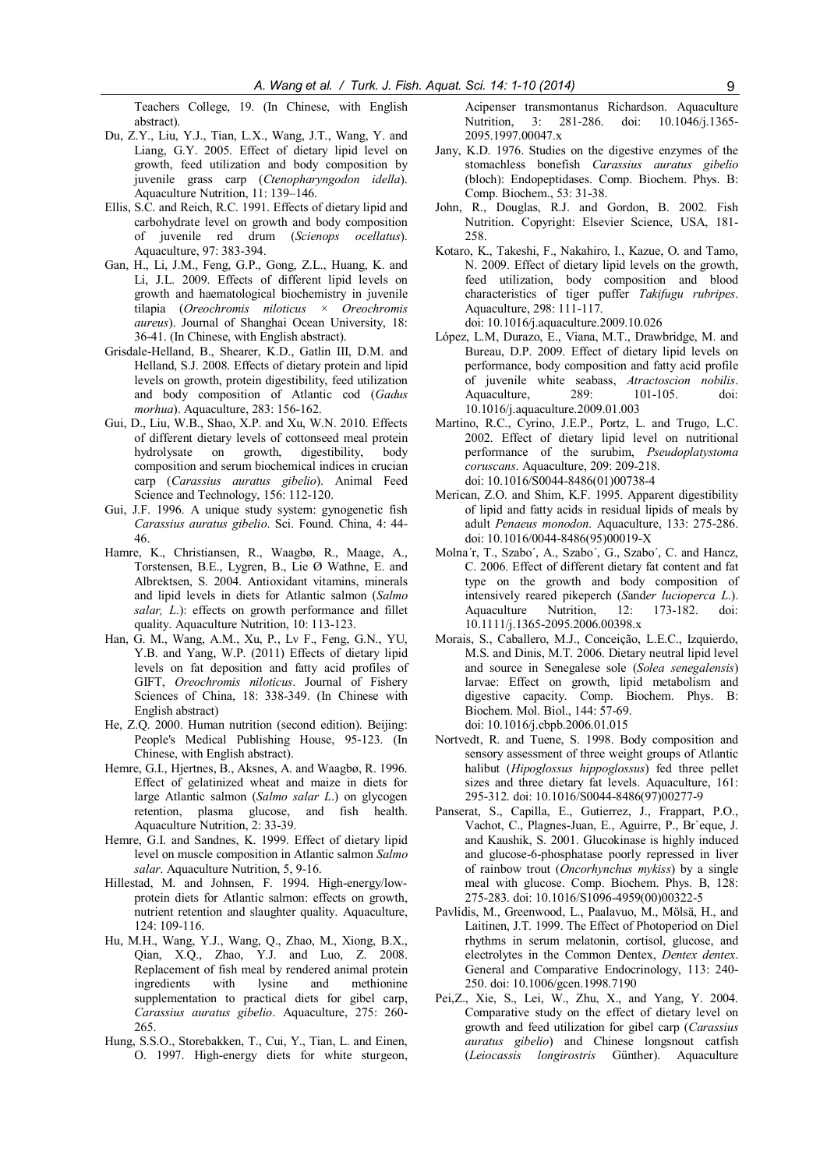Teachers College, 19. (In Chinese, with English abstract).

- Du, Z.Y., Liu, Y.J., Tian, L.X., Wang, J.T., Wang, Y. and Liang, G.Y. 2005. Effect of dietary lipid level on growth, feed utilization and body composition by juvenile grass carp (Ctenopharyngodon idella). Aquaculture Nutrition, 11: 139–146.
- Ellis, S.C. and Reich, R.C. 1991. Effects of dietary lipid and carbohydrate level on growth and body composition of juvenile red drum (Scienops ocellatus). Aquaculture, 97: 383-394.
- Gan, H., Li, J.M., Feng, G.P., Gong, Z.L., Huang, K. and Li, J.L. 2009. Effects of different lipid levels on growth and haematological biochemistry in juvenile tilapia (Oreochromis niloticus × Oreochromis aureus). Journal of Shanghai Ocean University, 18: 36-41. (In Chinese, with English abstract).
- Grisdale-Helland, B., Shearer, K.D., Gatlin III, D.M. and Helland, S.J. 2008. Effects of dietary protein and lipid levels on growth, protein digestibility, feed utilization and body composition of Atlantic cod (Gadus morhua). Aquaculture, 283: 156-162.
- Gui, D., Liu, W.B., Shao, X.P. and Xu, W.N. 2010. Effects of different dietary levels of cottonseed meal protein hydrolysate on growth, digestibility, body composition and serum biochemical indices in crucian carp (Carassius auratus gibelio). Animal Feed Science and Technology, 156: 112-120.
- Gui, J.F. 1996. A unique study system: gynogenetic fish Carassius auratus gibelio. Sci. Found. China, 4: 44- 46.
- Hamre, K., Christiansen, R., Waagbø, R., Maage, A., Torstensen, B.E., Lygren, B., Lie Ø Wathne, E. and Albrektsen, S. 2004. Antioxidant vitamins, minerals and lipid levels in diets for Atlantic salmon (Salmo salar, L.): effects on growth performance and fillet quality. Aquaculture Nutrition, 10: 113-123.
- Han, G. M., Wang, A.M., Xu, P., Lv F., Feng, G.N., YU, Y.B. and Yang, W.P. (2011) Effects of dietary lipid levels on fat deposition and fatty acid profiles of GIFT, Oreochromis niloticus. Journal of Fishery Sciences of China, 18: 338-349. (In Chinese with English abstract)
- He, Z.Q. 2000. Human nutrition (second edition). Beijing: People's Medical Publishing House, 95-123. (In Chinese, with English abstract).
- Hemre, G.I., Hjertnes, B., Aksnes, A. and Waagbø, R. 1996. Effect of gelatinized wheat and maize in diets for large Atlantic salmon (Salmo salar L.) on glycogen retention, plasma glucose, and fish health. Aquaculture Nutrition, 2: 33-39.
- Hemre, G.I. and Sandnes, K. 1999. Effect of dietary lipid level on muscle composition in Atlantic salmon Salmo salar. Aquaculture Nutrition, 5, 9-16.
- Hillestad, M. and Johnsen, F. 1994. High-energy/lowprotein diets for Atlantic salmon: effects on growth, nutrient retention and slaughter quality. Aquaculture, 124: 109-116.
- Hu, M.H., Wang, Y.J., Wang, Q., Zhao, M., Xiong, B.X., Qian, X.Q., Zhao, Y.J. and Luo, Z. 2008. Replacement of fish meal by rendered animal protein ingredients with lysine and methionine supplementation to practical diets for gibel carp, Carassius auratus gibelio. Aquaculture, 275: 260- 265.
- Hung, S.S.O., Storebakken, T., Cui, Y., Tian, L. and Einen, O. 1997. High-energy diets for white sturgeon,

Acipenser transmontanus Richardson. Aquaculture Nutrition, 3: 281-286. doi: 10.1046/j.1365- 2095.1997.00047.x

- Jany, K.D. 1976. Studies on the digestive enzymes of the stomachless bonefish Carassius auratus gibelio (bloch): Endopeptidases. Comp. Biochem. Phys. B: Comp. Biochem., 53: 31-38.
- John, R., Douglas, R.J. and Gordon, B. 2002. Fish Nutrition. Copyright: Elsevier Science, USA, 181- 258.
- Kotaro, K., Takeshi, F., Nakahiro, I., Kazue, O. and Tamo, N. 2009. Effect of dietary lipid levels on the growth, feed utilization, body composition and blood characteristics of tiger puffer Takifugu rubripes. Aquaculture, 298: 111-117. doi: 10.1016/j.aquaculture.2009.10.026
- López, L.M, Durazo, E., Viana, M.T., Drawbridge, M. and Bureau, D.P. 2009. Effect of dietary lipid levels on performance, body composition and fatty acid profile of juvenile white seabass, *Atractoscion nobilis*.<br>Aquaculture. 289: 101-105. doi: Aquaculture, 289<sup>-</sup> 101-105 doi: 10.1016/j.aquaculture.2009.01.003
- Martino, R.C., Cyrino, J.E.P., Portz, L. and Trugo, L.C. 2002. Effect of dietary lipid level on nutritional performance of the surubim, Pseudoplatystoma coruscans. Aquaculture, 209: 209-218. doi: 10.1016/S0044-8486(01)00738-4
- Merican, Z.O. and Shim, K.F. 1995. Apparent digestibility of lipid and fatty acids in residual lipids of meals by adult Penaeus monodon. Aquaculture, 133: 275-286. doi: 10.1016/0044-8486(95)00019-X
- Molna´r, T., Szabo´, A., Szabo´, G., Szabo´, C. and Hancz, C. 2006. Effect of different dietary fat content and fat type on the growth and body composition of intensively reared pikeperch (Sander lucioperca L.). Aquaculture Nutrition, 12: 173-182. doi: 10.1111/j.1365-2095.2006.00398.x
- Morais, S., Caballero, M.J., Conceição, L.E.C., Izquierdo, M.S. and Dinis, M.T. 2006. Dietary neutral lipid level and source in Senegalese sole (Solea senegalensis) larvae: Effect on growth, lipid metabolism and digestive capacity. Comp. Biochem. Phys. B: Biochem. Mol. Biol., 144: 57-69. doi: 10.1016/j.cbpb.2006.01.015
- Nortvedt, R. and Tuene, S. 1998. Body composition and sensory assessment of three weight groups of Atlantic halibut (Hipoglossus hippoglossus) fed three pellet sizes and three dietary fat levels. Aquaculture, 161: 295-312. doi: 10.1016/S0044-8486(97)00277-9
- Panserat, S., Capilla, E., Gutierrez, J., Frappart, P.O., Vachot, C., Plagnes-Juan, E., Aguirre, P., Br`eque, J. and Kaushik, S. 2001. Glucokinase is highly induced and glucose-6-phosphatase poorly repressed in liver of rainbow trout (Oncorhynchus mykiss) by a single meal with glucose. Comp. Biochem. Phys. B, 128: 275-283. doi: 10.1016/S1096-4959(00)00322-5
- Pavlidis, M., Greenwood, L., Paalavuo, M., Mölsä, H., and Laitinen, J.T. 1999. The Effect of Photoperiod on Diel rhythms in serum melatonin, cortisol, glucose, and electrolytes in the Common Dentex, Dentex dentex. General and Comparative Endocrinology, 113: 240- 250. doi: 10.1006/gcen.1998.7190
- Pei,Z., Xie, S., Lei, W., Zhu, X., and Yang, Y. 2004. Comparative study on the effect of dietary level on growth and feed utilization for gibel carp (Carassius auratus gibelio) and Chinese longsnout catfish (Leiocassis longirostris Günther). Aquaculture